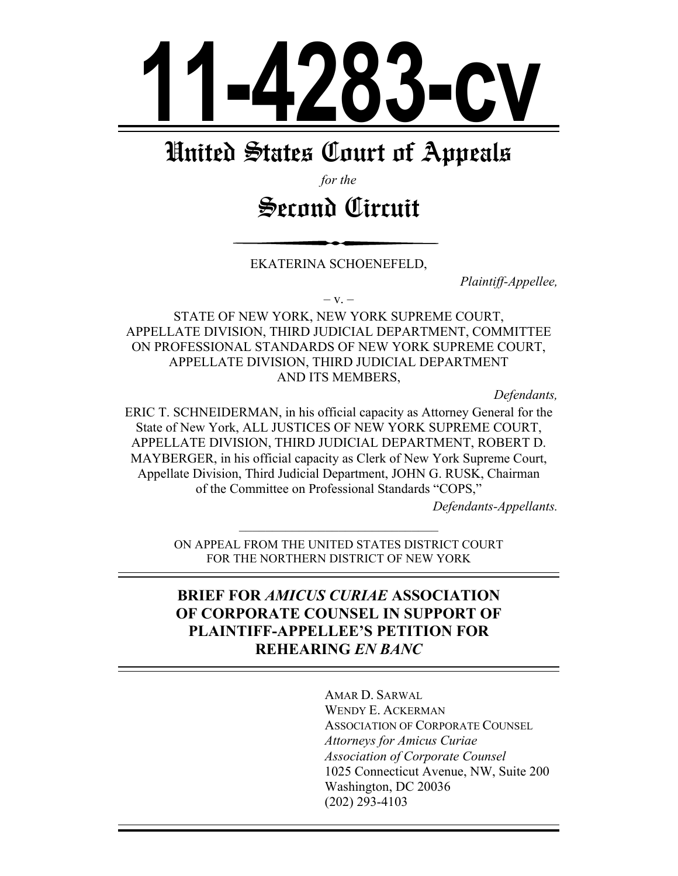

# United States Court of Appeals

*for the* 

# Second Circuit

EKATERINA SCHOENEFELD,

*Plaintiff-Appellee,* 

 $-V.$ 

STATE OF NEW YORK, NEW YORK SUPREME COURT, APPELLATE DIVISION, THIRD JUDICIAL DEPARTMENT, COMMITTEE ON PROFESSIONAL STANDARDS OF NEW YORK SUPREME COURT, APPELLATE DIVISION, THIRD JUDICIAL DEPARTMENT AND ITS MEMBERS,

*Defendants,* 

ERIC T. SCHNEIDERMAN, in his official capacity as Attorney General for the State of New York, ALL JUSTICES OF NEW YORK SUPREME COURT. APPELLATE DIVISION, THIRD JUDICIAL DEPARTMENT, ROBERT D. MAYBERGER, in his official capacity as Clerk of New York Supreme Court, Appellate Division, Third Judicial Department, JOHN G. RUSK, Chairman of the Committee on Professional Standards "COPS."

*Defendants-Appellants.* 

±±±±±±±±±±±±±±±±±±±±±±±±±±±±±± ON APPEAL FROM THE UNITED STATES DISTRICT COURT FOR THE NORTHERN DISTRICT OF NEW YORK

## **BRIEF FOR AMICUS CURIAE ASSOCIATION 2) OF CORPORATE COUNSEL IN SUPPORT OF PLAINTIFF-APPELLEE'S PETITION FOR 5(+(\$5,1\****EN BANC*

AMAR D. SARWAL WENDY E. ACKERMAN ASSOCIATION OF CORPORATE COUNSEL *Attorneys for Amicus Curiae Association of Corporate Counsel*  1025 Connecticut Avenue, NW, Suite 200 Washington, DC 20036  $(202)$  293-4103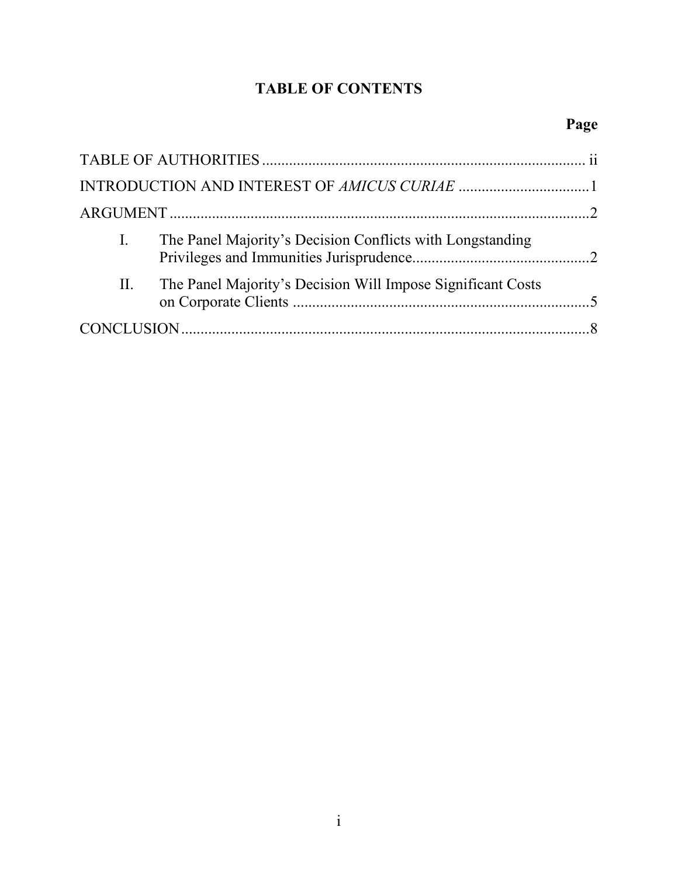## **TABLE OF CONTENTS**

| I. | The Panel Majority's Decision Conflicts with Longstanding   |  |
|----|-------------------------------------------------------------|--|
| П. | The Panel Majority's Decision Will Impose Significant Costs |  |
|    |                                                             |  |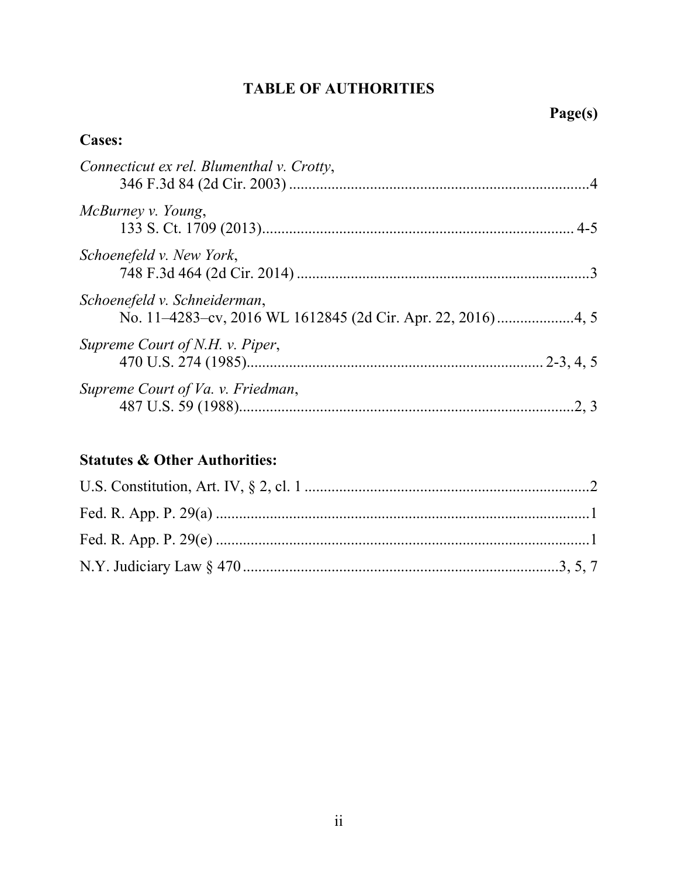## **TABLE OF AUTHORITIES**

## **Cases:**

| Connecticut ex rel. Blumenthal v. Crotty, |      |
|-------------------------------------------|------|
| McBurney v. Young,                        |      |
| Schoenefeld v. New York,                  |      |
| Schoenefeld v. Schneiderman,              |      |
| Supreme Court of N.H. v. Piper,           |      |
| Supreme Court of Va. v. Friedman,         | 2, 3 |

## **Statutes & Other Authorities:**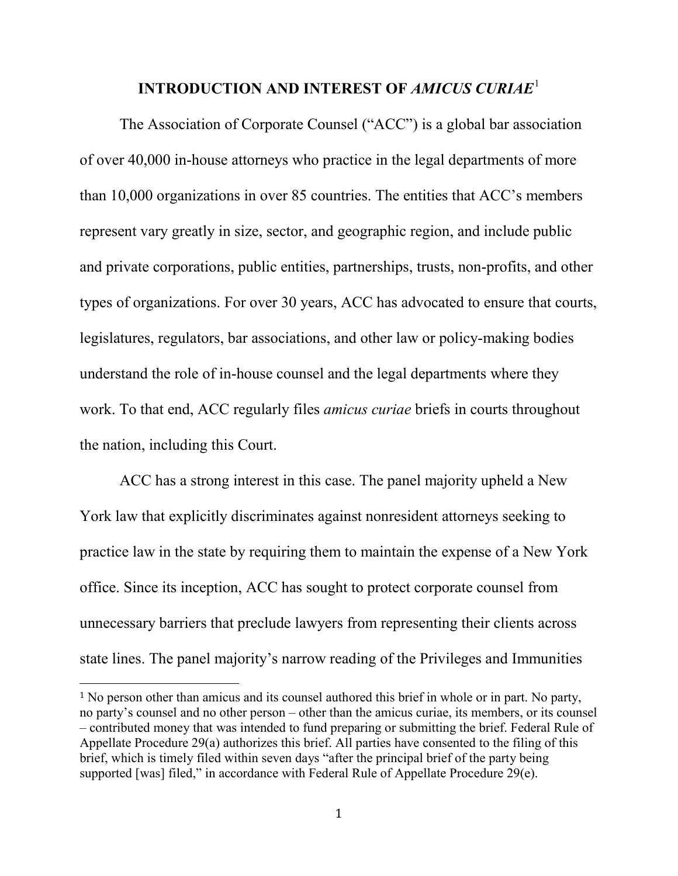### **INTRODUCTION AND INTEREST OF** *AMICUS CURIAE*[1](#page-3-0)

The Association of Corporate Counsel ("ACC") is a global bar association of over 40,000 in-house attorneys who practice in the legal departments of more than 10,000 organizations in over 85 countries. The entities that ACC's members represent vary greatly in size, sector, and geographic region, and include public and private corporations, public entities, partnerships, trusts, non-profits, and other types of organizations. For over 30 years, ACC has advocated to ensure that courts, legislatures, regulators, bar associations, and other law or policy-making bodies understand the role of in-house counsel and the legal departments where they work. To that end, ACC regularly files *amicus curiae* briefs in courts throughout the nation, including this Court.

ACC has a strong interest in this case. The panel majority upheld a New York law that explicitly discriminates against nonresident attorneys seeking to practice law in the state by requiring them to maintain the expense of a New York office. Since its inception, ACC has sought to protect corporate counsel from unnecessary barriers that preclude lawyers from representing their clients across state lines. The panel majority's narrow reading of the Privileges and Immunities

<span id="page-3-0"></span> <sup>1</sup> No person other than amicus and its counsel authored this brief in whole or in part. No party, no party's counsel and no other person – other than the amicus curiae, its members, or its counsel – contributed money that was intended to fund preparing or submitting the brief. Federal Rule of Appellate Procedure 29(a) authorizes this brief. All parties have consented to the filing of this brief, which is timely filed within seven days "after the principal brief of the party being supported [was] filed," in accordance with Federal Rule of Appellate Procedure 29(e).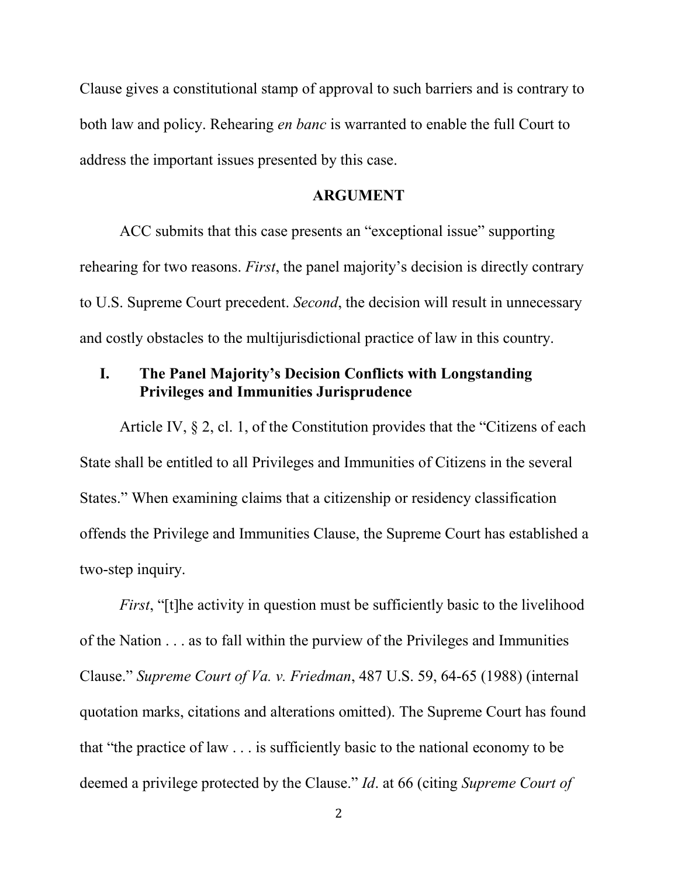Clause gives a constitutional stamp of approval to such barriers and is contrary to both law and policy. Rehearing *en banc* is warranted to enable the full Court to address the important issues presented by this case.

#### **ARGUMENT**

ACC submits that this case presents an "exceptional issue" supporting rehearing for two reasons. *First*, the panel majority's decision is directly contrary to U.S. Supreme Court precedent. *Second*, the decision will result in unnecessary and costly obstacles to the multijurisdictional practice of law in this country.

### **I. The Panel Majority's Decision Conflicts with Longstanding Privileges and Immunities Jurisprudence**

Article IV, § 2, cl. 1, of the Constitution provides that the "Citizens of each State shall be entitled to all Privileges and Immunities of Citizens in the several States." When examining claims that a citizenship or residency classification offends the Privilege and Immunities Clause, the Supreme Court has established a two-step inquiry.

*First*, "[t]he activity in question must be sufficiently basic to the livelihood of the Nation . . . as to fall within the purview of the Privileges and Immunities Clause." *Supreme Court of Va. v. Friedman*, 487 U.S. 59, 64-65 (1988) (internal quotation marks, citations and alterations omitted). The Supreme Court has found that "the practice of law . . . is sufficiently basic to the national economy to be deemed a privilege protected by the Clause." *Id*. at 66 (citing *Supreme Court of*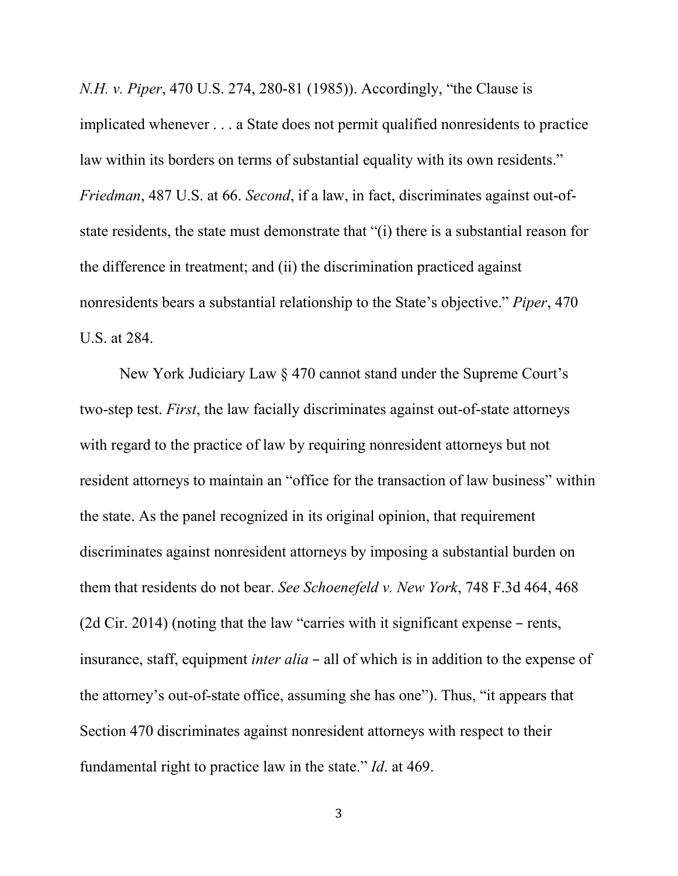*N.H. v. Piper*, 470 U.S. 274, 280-81 (1985)). Accordingly, "the Clause is implicated whenever . . . a State does not permit qualified nonresidents to practice law within its borders on terms of substantial equality with its own residents." *Friedman*, 487 U.S. at 66. *Second*, if a law, in fact, discriminates against out-ofstate residents, the state must demonstrate that "(i) there is a substantial reason for the difference in treatment; and (ii) the discrimination practiced against nonresidents bears a substantial relationship to the State's objective." *Piper*, 470 U.S. at 284.

New York Judiciary Law § 470 cannot stand under the Supreme Court's two-step test. *First*, the law facially discriminates against out-of-state attorneys with regard to the practice of law by requiring nonresident attorneys but not resident attorneys to maintain an "office for the transaction of law business" within the state. As the panel recognized in its original opinion, that requirement discriminates against nonresident attorneys by imposing a substantial burden on them that residents do not bear. *See Schoenefeld v. New York*, 748 F.3d 464, 468 (2d Cir. 2014) (noting that the law "carries with it significant expense – rents, insurance, staff, equipment *inter alia* – all of which is in addition to the expense of the attorney's out-of-state office, assuming she has one"). Thus, "it appears that Section 470 discriminates against nonresident attorneys with respect to their fundamental right to practice law in the state." *Id*. at 469.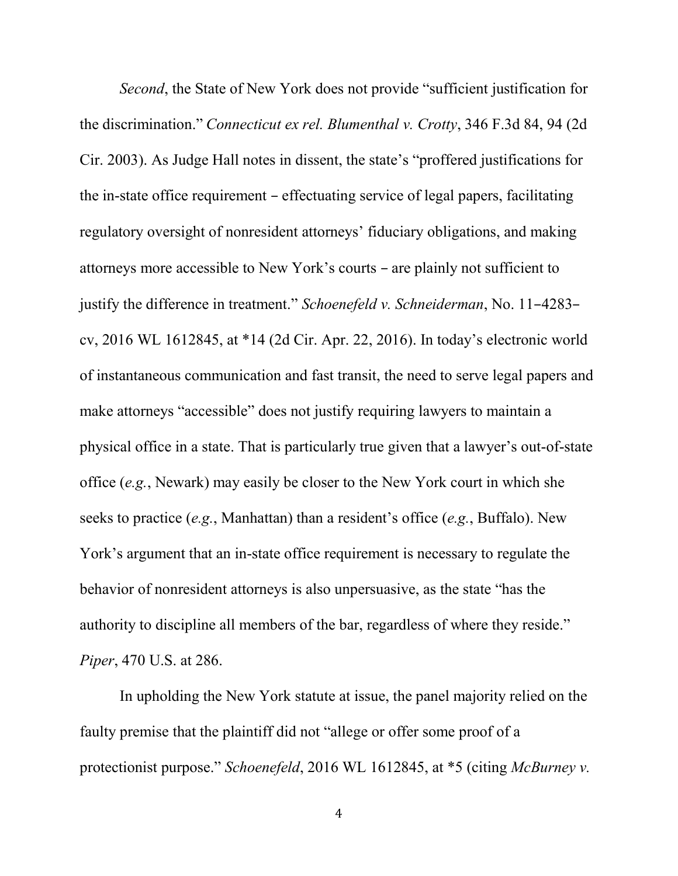*Second*, the State of New York does not provide "sufficient justification for the discrimination." *Connecticut ex rel. Blumenthal v. Crotty*, 346 F.3d 84, 94 (2d Cir. 2003). As Judge Hall notes in dissent, the state's "proffered justifications for the in-state office requirement – effectuating service of legal papers, facilitating regulatory oversight of nonresident attorneys' fiduciary obligations, and making attorneys more accessible to New York's courts – are plainly not sufficient to justify the difference in treatment." *Schoenefeld v. Schneiderman*, No. 11–4283– cv, 2016 WL 1612845, at \*14 (2d Cir. Apr. 22, 2016). In today's electronic world of instantaneous communication and fast transit, the need to serve legal papers and make attorneys "accessible" does not justify requiring lawyers to maintain a physical office in a state. That is particularly true given that a lawyer's out-of-state office (*e.g.*, Newark) may easily be closer to the New York court in which she seeks to practice (*e.g.*, Manhattan) than a resident's office (*e.g.*, Buffalo). New York's argument that an in-state office requirement is necessary to regulate the behavior of nonresident attorneys is also unpersuasive, as the state "has the authority to discipline all members of the bar, regardless of where they reside." *Piper*, 470 U.S. at 286.

In upholding the New York statute at issue, the panel majority relied on the faulty premise that the plaintiff did not "allege or offer some proof of a protectionist purpose." *Schoenefeld*, 2016 WL 1612845, at \*5 (citing *McBurney v.*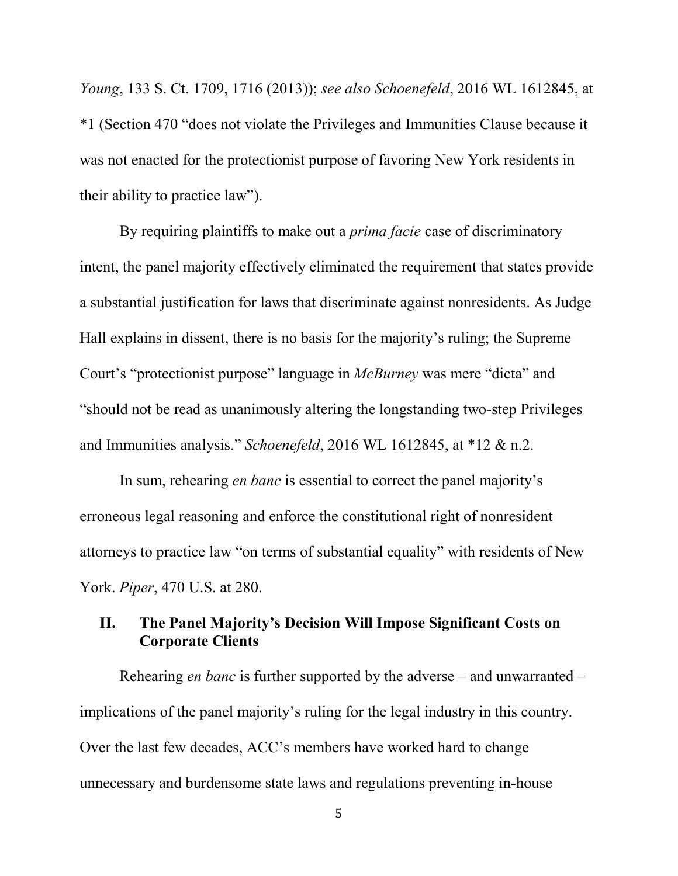*Young*, 133 S. Ct. 1709, 1716 (2013)); *see also Schoenefeld*, 2016 WL 1612845, at \*1 (Section 470 "does not violate the Privileges and Immunities Clause because it was not enacted for the protectionist purpose of favoring New York residents in their ability to practice law").

By requiring plaintiffs to make out a *prima facie* case of discriminatory intent, the panel majority effectively eliminated the requirement that states provide a substantial justification for laws that discriminate against nonresidents. As Judge Hall explains in dissent, there is no basis for the majority's ruling; the Supreme Court's "protectionist purpose" language in *McBurney* was mere "dicta" and "should not be read as unanimously altering the longstanding two-step Privileges and Immunities analysis." *Schoenefeld*, 2016 WL 1612845, at \*12 & n.2.

In sum, rehearing *en banc* is essential to correct the panel majority's erroneous legal reasoning and enforce the constitutional right of nonresident attorneys to practice law "on terms of substantial equality" with residents of New York. *Piper*, 470 U.S. at 280.

### **II. The Panel Majority's Decision Will Impose Significant Costs on Corporate Clients**

Rehearing *en banc* is further supported by the adverse – and unwarranted – implications of the panel majority's ruling for the legal industry in this country. Over the last few decades, ACC's members have worked hard to change unnecessary and burdensome state laws and regulations preventing in-house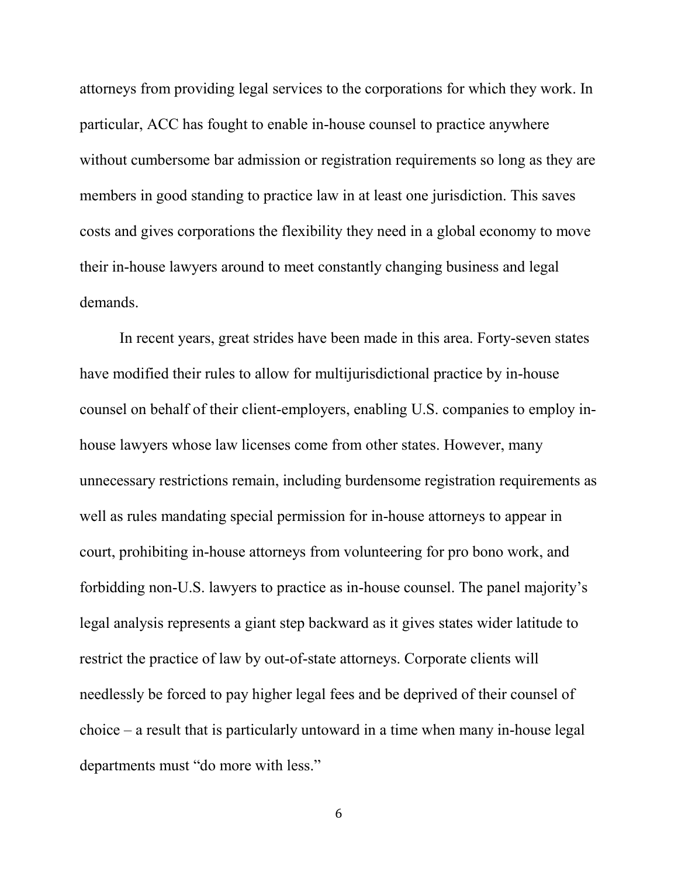attorneys from providing legal services to the corporations for which they work. In particular, ACC has fought to enable in-house counsel to practice anywhere without cumbersome bar admission or registration requirements so long as they are members in good standing to practice law in at least one jurisdiction. This saves costs and gives corporations the flexibility they need in a global economy to move their in-house lawyers around to meet constantly changing business and legal demands.

In recent years, great strides have been made in this area. Forty-seven states have modified their rules to allow for multijurisdictional practice by in-house counsel on behalf of their client-employers, enabling U.S. companies to employ inhouse lawyers whose law licenses come from other states. However, many unnecessary restrictions remain, including burdensome registration requirements as well as rules mandating special permission for in-house attorneys to appear in court, prohibiting in-house attorneys from volunteering for pro bono work, and forbidding non-U.S. lawyers to practice as in-house counsel. The panel majority's legal analysis represents a giant step backward as it gives states wider latitude to restrict the practice of law by out-of-state attorneys. Corporate clients will needlessly be forced to pay higher legal fees and be deprived of their counsel of choice – a result that is particularly untoward in a time when many in-house legal departments must "do more with less."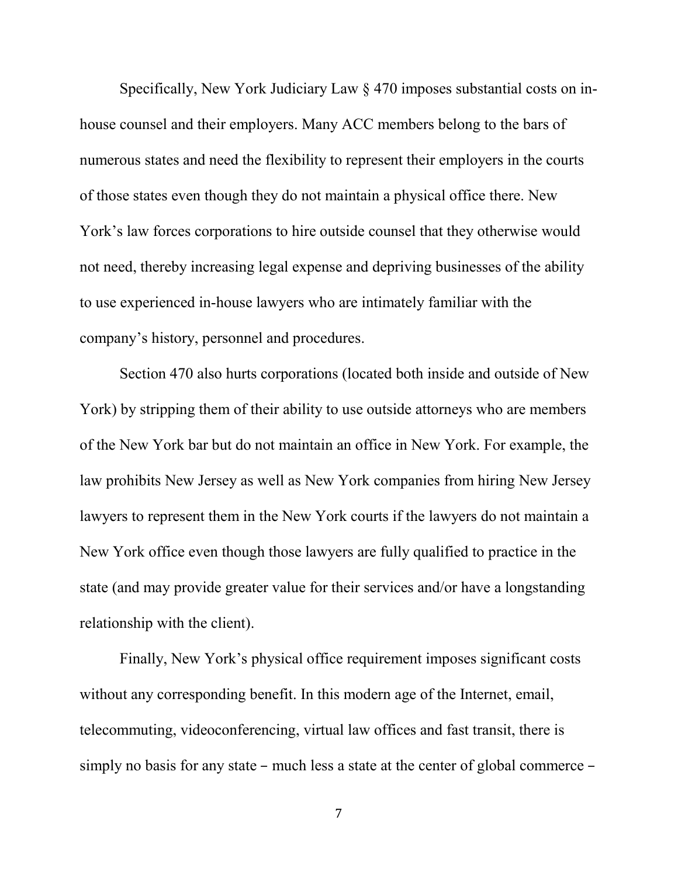Specifically, New York Judiciary Law § 470 imposes substantial costs on inhouse counsel and their employers. Many ACC members belong to the bars of numerous states and need the flexibility to represent their employers in the courts of those states even though they do not maintain a physical office there. New York's law forces corporations to hire outside counsel that they otherwise would not need, thereby increasing legal expense and depriving businesses of the ability to use experienced in-house lawyers who are intimately familiar with the company's history, personnel and procedures.

Section 470 also hurts corporations (located both inside and outside of New York) by stripping them of their ability to use outside attorneys who are members of the New York bar but do not maintain an office in New York. For example, the law prohibits New Jersey as well as New York companies from hiring New Jersey lawyers to represent them in the New York courts if the lawyers do not maintain a New York office even though those lawyers are fully qualified to practice in the state (and may provide greater value for their services and/or have a longstanding relationship with the client).

Finally, New York's physical office requirement imposes significant costs without any corresponding benefit. In this modern age of the Internet, email, telecommuting, videoconferencing, virtual law offices and fast transit, there is simply no basis for any state – much less a state at the center of global commerce –